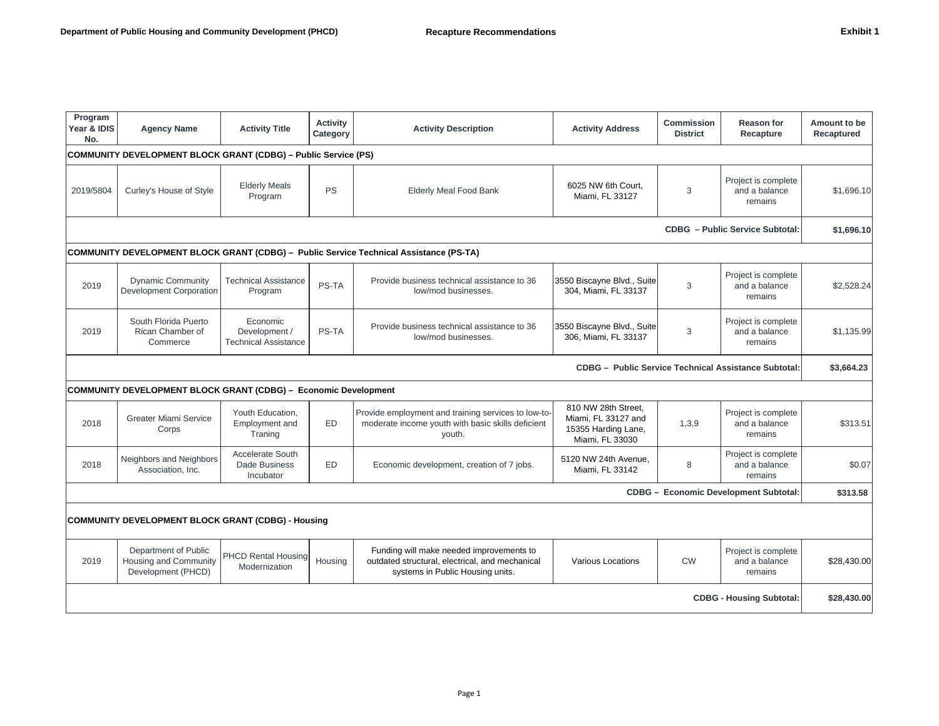| Program<br>Year & IDIS<br>No.                                         | <b>Agency Name</b>                                                     | <b>Activity Title</b>                                    | <b>Activity</b><br>Category | <b>Activity Description</b>                                                                                                     | <b>Activity Address</b>                                                              | <b>Commission</b><br><b>District</b> | <b>Reason for</b><br>Recapture                  | Amount to be<br>Recaptured |
|-----------------------------------------------------------------------|------------------------------------------------------------------------|----------------------------------------------------------|-----------------------------|---------------------------------------------------------------------------------------------------------------------------------|--------------------------------------------------------------------------------------|--------------------------------------|-------------------------------------------------|----------------------------|
| <b>COMMUNITY DEVELOPMENT BLOCK GRANT (CDBG) - Public Service (PS)</b> |                                                                        |                                                          |                             |                                                                                                                                 |                                                                                      |                                      |                                                 |                            |
| 2019/5804                                                             | Curley's House of Style                                                | <b>Elderly Meals</b><br>Program                          | <b>PS</b>                   | <b>Elderly Meal Food Bank</b>                                                                                                   | 6025 NW 6th Court,<br>Miami, FL 33127                                                | 3                                    | Project is complete<br>and a balance<br>remains | \$1,696.10                 |
|                                                                       |                                                                        |                                                          |                             |                                                                                                                                 |                                                                                      |                                      | <b>CDBG</b> - Public Service Subtotal:          | \$1,696.10                 |
|                                                                       |                                                                        |                                                          |                             | <b>COMMUNITY DEVELOPMENT BLOCK GRANT (CDBG) - Public Service Technical Assistance (PS-TA)</b>                                   |                                                                                      |                                      |                                                 |                            |
| 2019                                                                  | <b>Dynamic Community</b><br>Development Corporation                    | <b>Technical Assistance</b><br>Program                   | PS-TA                       | Provide business technical assistance to 36<br>low/mod businesses.                                                              | 3550 Biscayne Blvd., Suite<br>304, Miami, FL 33137                                   | 3                                    | Project is complete<br>and a balance<br>remains | \$2,528.24                 |
| 2019                                                                  | South Florida Puerto<br>Rican Chamber of<br>Commerce                   | Economic<br>Development /<br><b>Technical Assistance</b> | PS-TA                       | Provide business technical assistance to 36<br>low/mod businesses.                                                              | 3550 Biscayne Blvd., Suite<br>306, Miami, FL 33137                                   | 3                                    | Project is complete<br>and a balance<br>remains | \$1,135.99                 |
|                                                                       |                                                                        |                                                          |                             |                                                                                                                                 | <b>CDBG - Public Service Technical Assistance Subtotal:</b>                          |                                      |                                                 | \$3,664.23                 |
|                                                                       | <b>COMMUNITY DEVELOPMENT BLOCK GRANT (CDBG) - Economic Development</b> |                                                          |                             |                                                                                                                                 |                                                                                      |                                      |                                                 |                            |
| 2018                                                                  | <b>Greater Miami Service</b><br>Corps                                  | Youth Education,<br>Employment and<br>Traning            | <b>ED</b>                   | Provide employment and training services to low-to-<br>moderate income youth with basic skills deficient<br>youth.              | 810 NW 28th Street,<br>Miami, FL 33127 and<br>15355 Harding Lane,<br>Miami, FL 33030 | 1,3,9                                | Project is complete<br>and a balance<br>remains | \$313.51                   |
| 2018                                                                  | Neighbors and Neighbors<br>Association, Inc.                           | <b>Accelerate South</b><br>Dade Business<br>Incubator    | <b>ED</b>                   | Economic development, creation of 7 jobs.                                                                                       | 5120 NW 24th Avenue,<br>Miami, FL 33142                                              | 8                                    | Project is complete<br>and a balance<br>remains | \$0.07                     |
|                                                                       |                                                                        |                                                          |                             |                                                                                                                                 |                                                                                      |                                      | CDBG - Economic Development Subtotal:           | \$313.58                   |
|                                                                       | COMMUNITY DEVELOPMENT BLOCK GRANT (CDBG) - Housing                     |                                                          |                             |                                                                                                                                 |                                                                                      |                                      |                                                 |                            |
| 2019                                                                  | Department of Public<br>Housing and Community<br>Development (PHCD)    | <b>PHCD Rental Housing</b><br>Modernization              | Housing                     | Funding will make needed improvements to<br>outdated structural, electrical, and mechanical<br>systems in Public Housing units. | <b>Various Locations</b>                                                             | <b>CW</b>                            | Project is complete<br>and a balance<br>remains | \$28,430.00                |
|                                                                       |                                                                        |                                                          |                             |                                                                                                                                 |                                                                                      |                                      | <b>CDBG - Housing Subtotal:</b>                 | \$28,430.00                |